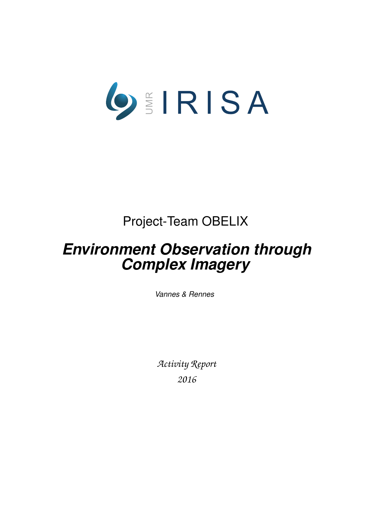

# Project-Team OBELIX

# *Environment Observation through Complex Imagery*

*Vannes & Rennes*

*Activity Report 2016*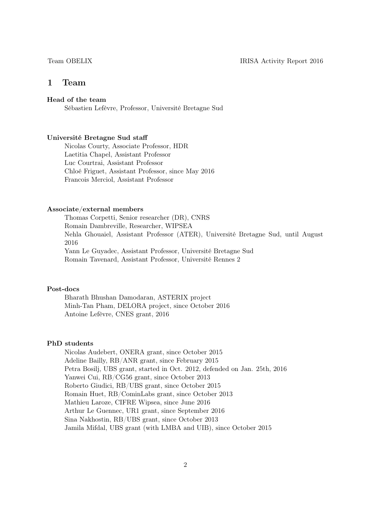# 1 Team

# Head of the team

Sébastien Lefèvre, Professor, Université Bretagne Sud

#### Université Bretagne Sud staff

Nicolas Courty, Associate Professor, HDR Laetitia Chapel, Assistant Professor Luc Courtrai, Assistant Professor Chloé Friguet, Assistant Professor, since May 2016 Francois Merciol, Assistant Professor

### Associate/external members

Thomas Corpetti, Senior researcher (DR), CNRS Romain Dambreville, Researcher, WIPSEA Nehla Ghouaiel, Assistant Professor (ATER), Université Bretagne Sud, until August 2016 Yann Le Guyadec, Assistant Professor, Université Bretagne Sud Romain Tavenard, Assistant Professor, Université Rennes 2

### Post-docs

Bharath Bhushan Damodaran, ASTERIX project Minh-Tan Pham, DELORA project, since October 2016 Antoine Lefèvre, CNES grant, 2016

### PhD students

Nicolas Audebert, ONERA grant, since October 2015 Adeline Bailly, RB/ANR grant, since February 2015 Petra Bosilj, UBS grant, started in Oct. 2012, defended on Jan. 25th, 2016 Yanwei Cui, RB/CG56 grant, since October 2013 Roberto Giudici, RB/UBS grant, since October 2015 Romain Huet, RB/CominLabs grant, since October 2013 Mathieu Laroze, CIFRE Wipsea, since June 2016 Arthur Le Guennec, UR1 grant, since September 2016 Sina Nakhostin, RB/UBS grant, since October 2013 Jamila Mifdal, UBS grant (with LMBA and UIB), since October 2015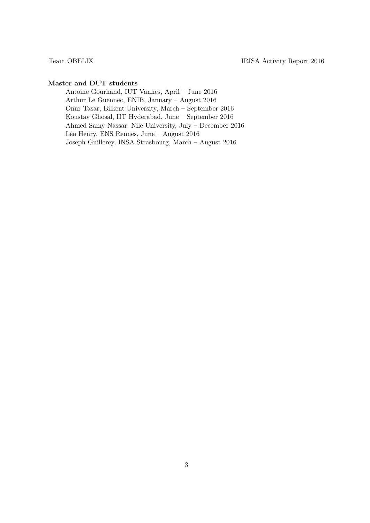# Master and DUT students

Antoine Gourhand, IUT Vannes, April – June 2016 Arthur Le Guennec, ENIB, January – August 2016 Onur Tasar, Bilkent University, March – September 2016 Koustav Ghosal, IIT Hyderabad, June – September 2016 Ahmed Samy Nassar, Nile University, July – December 2016 Léo Henry, ENS Rennes, June – August 2016 Joseph Guillerey, INSA Strasbourg, March – August 2016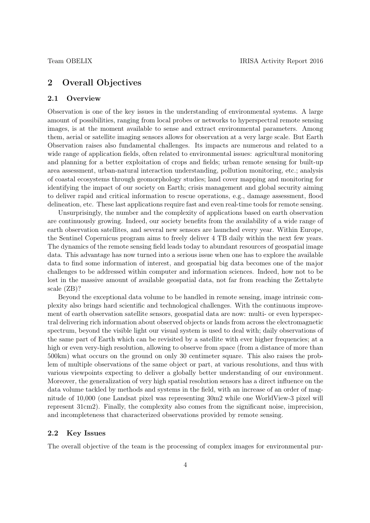# 2 Overall Objectives

# 2.1 Overview

Observation is one of the key issues in the understanding of environmental systems. A large amount of possibilities, ranging from local probes or networks to hyperspectral remote sensing images, is at the moment available to sense and extract environmental parameters. Among them, aerial or satellite imaging sensors allows for observation at a very large scale. But Earth Observation raises also fundamental challenges. Its impacts are numerous and related to a wide range of application fields, often related to environmental issues: agricultural monitoring and planning for a better exploitation of crops and fields; urban remote sensing for built-up area assessment, urban-natural interaction understanding, pollution monitoring, etc.; analysis of coastal ecosystems through geomorphology studies; land cover mapping and monitoring for identifying the impact of our society on Earth; crisis management and global security aiming to deliver rapid and critical information to rescue operations, e.g., damage assessment, flood delineation, etc. These last applications require fast and even real-time tools for remote sensing.

Unsurprisingly, the number and the complexity of applications based on earth observation are continuously growing. Indeed, our society benefits from the availability of a wide range of earth observation satellites, and several new sensors are launched every year. Within Europe, the Sentinel Copernicus program aims to freely deliver 4 TB daily within the next few years. The dynamics of the remote sensing field leads today to abundant resources of geospatial image data. This advantage has now turned into a serious issue when one has to explore the available data to find some information of interest, and geospatial big data becomes one of the major challenges to be addressed within computer and information sciences. Indeed, how not to be lost in the massive amount of available geospatial data, not far from reaching the Zettabyte scale (ZB)?

Beyond the exceptional data volume to be handled in remote sensing, image intrinsic complexity also brings hard scientific and technological challenges. With the continuous improvement of earth observation satellite sensors, geospatial data are now: multi- or even hyperspectral delivering rich information about observed objects or lands from across the electromagnetic spectrum, beyond the visible light our visual system is used to deal with; daily observations of the same part of Earth which can be revisited by a satellite with ever higher frequencies; at a high or even very-high resolution, allowing to observe from space (from a distance of more than 500km) what occurs on the ground on only 30 centimeter square. This also raises the problem of multiple observations of the same object or part, at various resolutions, and thus with various viewpoints expecting to deliver a globally better understanding of our environment. Moreover, the generalization of very high spatial resolution sensors has a direct influence on the data volume tackled by methods and systems in the field, with an increase of an order of magnitude of 10,000 (one Landsat pixel was representing 30m2 while one WorldView-3 pixel will represent 31cm2). Finally, the complexity also comes from the significant noise, imprecision, and incompleteness that characterized observations provided by remote sensing.

### 2.2 Key Issues

The overall objective of the team is the processing of complex images for environmental pur-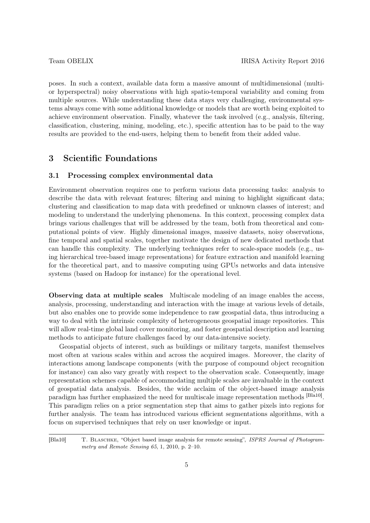poses. In such a context, available data form a massive amount of multidimensional (multior hyperspectral) noisy observations with high spatio-temporal variability and coming from multiple sources. While understanding these data stays very challenging, environmental systems always come with some additional knowledge or models that are worth being exploited to achieve environment observation. Finally, whatever the task involved (e.g., analysis, filtering, classification, clustering, mining, modeling, etc.), specific attention has to be paid to the way results are provided to the end-users, helping them to benefit from their added value.

# 3 Scientific Foundations

### 3.1 Processing complex environmental data

Environment observation requires one to perform various data processing tasks: analysis to describe the data with relevant features; filtering and mining to highlight significant data; clustering and classification to map data with predefined or unknown classes of interest; and modeling to understand the underlying phenomena. In this context, processing complex data brings various challenges that will be addressed by the team, both from theoretical and computational points of view. Highly dimensional images, massive datasets, noisy observations, fine temporal and spatial scales, together motivate the design of new dedicated methods that can handle this complexity. The underlying techniques refer to scale-space models (e.g., using hierarchical tree-based image representations) for feature extraction and manifold learning for the theoretical part, and to massive computing using GPUs networks and data intensive systems (based on Hadoop for instance) for the operational level.

Observing data at multiple scales Multiscale modeling of an image enables the access, analysis, processing, understanding and interaction with the image at various levels of details, but also enables one to provide some independence to raw geospatial data, thus introducing a way to deal with the intrinsic complexity of heterogeneous geospatial image repositories. This will allow real-time global land cover monitoring, and foster geospatial description and learning methods to anticipate future challenges faced by our data-intensive society.

Geospatial objects of interest, such as buildings or military targets, manifest themselves most often at various scales within and across the acquired images. Moreover, the clarity of interactions among landscape components (with the purpose of compound object recognition for instance) can also vary greatly with respect to the observation scale. Consequently, image representation schemes capable of accommodating multiple scales are invaluable in the context of geospatial data analysis. Besides, the wide acclaim of the object-based image analysis paradigm has further emphasized the need for multiscale image representation methods [Bla10]. This paradigm relies on a prior segmentation step that aims to gather pixels into regions for further analysis. The team has introduced various efficient segmentations algorithms, with a focus on supervised techniques that rely on user knowledge or input.

[Bla10] T. BLASCHKE, "Object based image analysis for remote sensing", ISPRS Journal of Photogrammetry and Remote Sensing 65, 1, 2010, p. 2–10.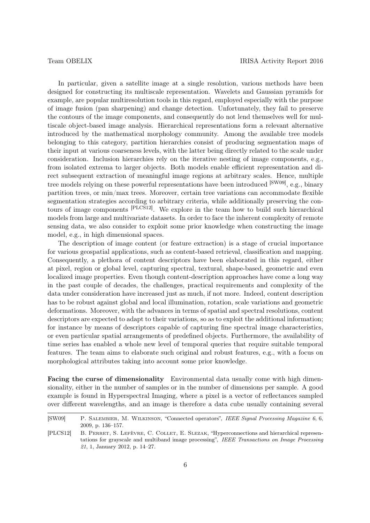In particular, given a satellite image at a single resolution, various methods have been designed for constructing its multiscale representation. Wavelets and Gaussian pyramids for example, are popular multiresolution tools in this regard, employed especially with the purpose of image fusion (pan sharpening) and change detection. Unfortunately, they fail to preserve the contours of the image components, and consequently do not lend themselves well for multiscale object-based image analysis. Hierarchical representations form a relevant alternative introduced by the mathematical morphology community. Among the available tree models belonging to this category, partition hierarchies consist of producing segmentation maps of their input at various coarseness levels, with the latter being directly related to the scale under consideration. Inclusion hierarchies rely on the iterative nesting of image components, e.g., from isolated extrema to larger objects. Both models enable efficient representation and direct subsequent extraction of meaningful image regions at arbitrary scales. Hence, multiple tree models relying on these powerful representations have been introduced [SW09], e.g., binary partition trees, or min/max trees. Moreover, certain tree variations can accommodate flexible segmentation strategies according to arbitrary criteria, while additionally preserving the contours of image components [PLCS12]. We explore in the team how to build such hierarchical models from large and multivariate datasets. In order to face the inherent complexity of remote sensing data, we also consider to exploit some prior knowledge when constructing the image model, e.g., in high dimensional spaces.

The description of image content (or feature extraction) is a stage of crucial importance for various geospatial applications, such as content-based retrieval, classification and mapping. Consequently, a plethora of content descriptors have been elaborated in this regard, either at pixel, region or global level, capturing spectral, textural, shape-based, geometric and even localized image properties. Even though content-description approaches have come a long way in the past couple of decades, the challenges, practical requirements and complexity of the data under consideration have increased just as much, if not more. Indeed, content description has to be robust against global and local illumination, rotation, scale variations and geometric deformations. Moreover, with the advances in terms of spatial and spectral resolutions, content descriptors are expected to adapt to their variations, so as to exploit the additional information; for instance by means of descriptors capable of capturing fine spectral image characteristics, or even particular spatial arrangements of predefined objects. Furthermore, the availability of time series has enabled a whole new level of temporal queries that require suitable temporal features. The team aims to elaborate such original and robust features, e.g., with a focus on morphological attributes taking into account some prior knowledge.

Facing the curse of dimensionality Environmental data usually come with high dimensionality, either in the number of samples or in the number of dimensions per sample. A good example is found in Hyperspectral Imaging, where a pixel is a vector of reflectances sampled over different wavelengths, and an image is therefore a data cube usually containing several

<sup>[</sup>SW09] P. Salembier, M. Wilkinson, "Connected operators", IEEE Signal Processing Magazine 6, 6, 2009, p. 136–157.

<sup>[</sup>PLCS12] B. Perret, S. Lefèvre, C. Collet, E. Slezak, "Hyperconnections and hierarchical representations for grayscale and multiband image processing", IEEE Transactions on Image Processing 21, 1, January 2012, p. 14–27.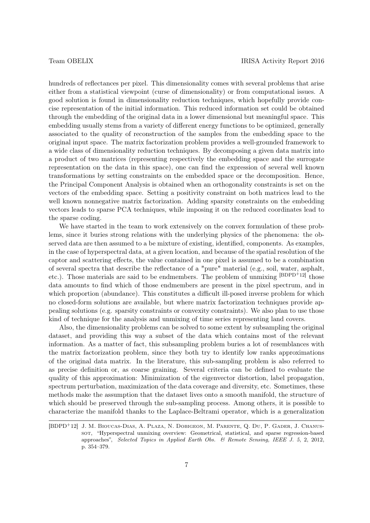hundreds of reflectances per pixel. This dimensionality comes with several problems that arise either from a statistical viewpoint (curse of dimensionality) or from computational issues. A good solution is found in dimensionality reduction techniques, which hopefully provide concise representation of the initial information. This reduced information set could be obtained through the embedding of the original data in a lower dimensional but meaningful space. This embedding usually stems from a variety of different energy functions to be optimized, generally associated to the quality of reconstruction of the samples from the embedding space to the original input space. The matrix factorization problem provides a well-grounded framework to a wide class of dimensionality reduction techniques. By decomposing a given data matrix into a product of two matrices (representing respectively the embedding space and the surrogate representation on the data in this space), one can find the expression of several well known transformations by setting constraints on the embedded space or the decomposition. Hence, the Principal Component Analysis is obtained when an orthogonality constraints is set on the vectors of the embedding space. Setting a positivity constraint on both matrices lead to the well known nonnegative matrix factorization. Adding sparsity constraints on the embedding vectors leads to sparse PCA techniques, while imposing it on the reduced coordinates lead to the sparse coding.

We have started in the team to work extensively on the convex formulation of these problems, since it buries strong relations with the underlying physics of the phenomena: the observed data are then assumed to a be mixture of existing, identified, components. As examples, in the case of hyperspectral data, at a given location, and because of the spatial resolution of the captor and scattering effects, the value contained in one pixel is assumed to be a combination of several spectra that describe the reflectance of a "pure" material (e.g., soil, water, asphalt, etc.). Those materials are said to be endmembers. The problem of unmixing [BDPD+12] those data amounts to find which of those endmembers are present in the pixel spectrum, and in which proportion (abundance). This constitutes a difficult ill-posed inverse problem for which no closed-form solutions are available, but where matrix factorization techniques provide appealing solutions (e.g. sparsity constraints or convexity constraints). We also plan to use those kind of technique for the analysis and unmixing of time series representing land covers.

Also, the dimensionality problems can be solved to some extent by subsampling the original dataset, and providing this way a subset of the data which contains most of the relevant information. As a matter of fact, this subsampling problem buries a lot of resemblances with the matrix factorization problem, since they both try to identify low ranks approximations of the original data matrix. In the literature, this sub-sampling problem is also referred to as precise definition or, as coarse graining. Several criteria can be defined to evaluate the quality of this approximation: Minimization of the eigenvector distortion, label propagation, spectrum perturbation, maximization of the data coverage and diversity, etc. Sometimes, these methods make the assumption that the dataset lives onto a smooth manifold, the structure of which should be preserved through the sub-sampling process. Among others, it is possible to characterize the manifold thanks to the Laplace-Beltrami operator, which is a generalization

<sup>[</sup>BDPD<sup>+</sup>12] J. M. Bioucas-Dias, A. Plaza, N. Dobigeon, M. Parente, Q. Du, P. Gader, J. Chanussot, "Hyperspectral unmixing overview: Geometrical, statistical, and sparse regression-based approaches", Selected Topics in Applied Earth Obs. & Remote Sensing, IEEE J. 5, 2, 2012, p. 354–379.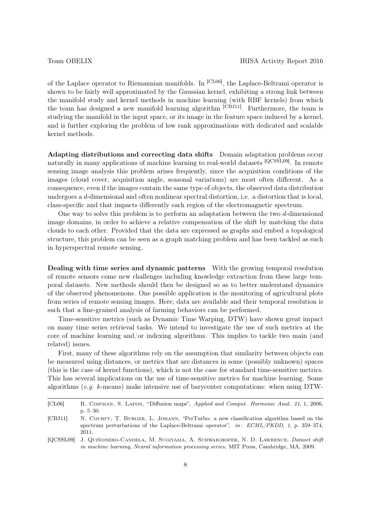of the Laplace operator to Riemannian manifolds. In [CL06], the Laplace-Beltrami operator is shown to be fairly well approximated by the Gaussian kernel, exhibiting a strong link between the manifold study and kernel methods in machine learning (with RBF kernels) from which the team has designed a new manifold learning algorithm [CBJ11]. Furthermore, the team is studying the manifold in the input space, or its image in the feature space induced by a kernel, and is further exploring the problem of low rank approximations with dedicated and scalable kernel methods.

Adapting distributions and correcting data shifts Domain adaptation problems occur naturally in many applications of machine learning to real-world datasets [QCSSL09]. In remote sensing image analysis this problem arises frequently, since the acquisition conditions of the images (cloud cover, acquisition angle, seasonal variations) are most often different. As a consequence, even if the images contain the same type of objects, the observed data distribution undergoes a d-dimensional and often nonlinear spectral distortion, i.e. a distortion that is local, class-specific and that impacts differently each region of the electromagnetic spectrum.

One way to solve this problem is to perform an adaptation between the two d-dimensional image domains, in order to achieve a relative compensation of the shift by matching the data clouds to each other. Provided that the data are expressed as graphs and embed a topological structure, this problem can be seen as a graph matching problem and has been tackled as such in hyperspectral remote sensing.

Dealing with time series and dynamic patterns With the growing temporal resolution of remote sensors come new challenges including knowledge extraction from these large temporal datasets. New methods should then be designed so as to better understand dynamics of the observed phenomenons. One possible application is the monitoring of agricultural plots from series of remote sensing images. Here, data are available and their temporal resolution is such that a fine-grained analysis of farming behaviors can be performed.

Time-sensitive metrics (such as Dynamic Time Warping, DTW) have shown great impact on many time series retrieval tasks. We intend to investigate the use of such metrics at the core of machine learning and/or indexing algorithms. This implies to tackle two main (and related) issues.

First, many of these algorithms rely on the assumption that similarity between objects can be measured using distances, or metrics that are distances in some (possibly unknown) spaces (this is the case of kernel functions), which is not the case for standard time-sensitive metrics. This has several implications on the use of time-sensitive metrics for machine learning. Some algorithms (e.g. k-means) make intensive use of barycenter computations: when using DTW-

<sup>[</sup>CL06] R. COIFMAN, S. LAFON, "Diffusion maps", Applied and Comput. Harmonic Anal. 21, 1, 2006, p. 5–30.

<sup>[</sup>CBJ11] N. COURTY, T. BURGER, L. JOHANN, "PerTurbo: a new classification algorithm based on the spectrum perturbations of the Laplace-Beltrami operator",  $in: ECML/PKDD, 1$ , p. 359–374, 2011.

<sup>[</sup>QCSSL09] J. Quiñonero-Candela, M. Sugiyama, A. Schwaighofer, N. D. Lawrence, Dataset shift in machine learning, Neural information processing series, MIT Press, Cambridge, MA, 2009.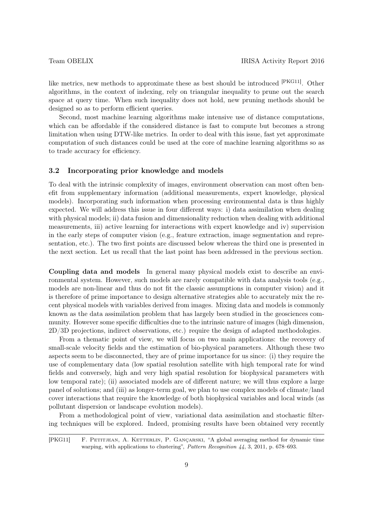like metrics, new methods to approximate these as best should be introduced [PKG11]. Other algorithms, in the context of indexing, rely on triangular inequality to prune out the search space at query time. When such inequality does not hold, new pruning methods should be designed so as to perform efficient queries.

Second, most machine learning algorithms make intensive use of distance computations, which can be affordable if the considered distance is fast to compute but becomes a strong limitation when using DTW-like metrics. In order to deal with this issue, fast yet approximate computation of such distances could be used at the core of machine learning algorithms so as to trade accuracy for efficiency.

#### 3.2 Incorporating prior knowledge and models

To deal with the intrinsic complexity of images, environment observation can most often benefit from supplementary information (additional measurements, expert knowledge, physical models). Incorporating such information when processing environmental data is thus highly expected. We will address this issue in four different ways: i) data assimilation when dealing with physical models; ii) data fusion and dimensionality reduction when dealing with additional measurements, iii) active learning for interactions with expert knowledge and iv) supervision in the early steps of computer vision (e.g., feature extraction, image segmentation and representation, etc.). The two first points are discussed below whereas the third one is presented in the next section. Let us recall that the last point has been addressed in the previous section.

Coupling data and models In general many physical models exist to describe an environmental system. However, such models are rarely compatible with data analysis tools (e.g., models are non-linear and thus do not fit the classic assumptions in computer vision) and it is therefore of prime importance to design alternative strategies able to accurately mix the recent physical models with variables derived from images. Mixing data and models is commonly known as the data assimilation problem that has largely been studied in the geosciences community. However some specific difficulties due to the intrinsic nature of images (high dimension, 2D/3D projections, indirect observations, etc.) require the design of adapted methodologies.

From a thematic point of view, we will focus on two main applications: the recovery of small-scale velocity fields and the estimation of bio-physical parameters. Although these two aspects seem to be disconnected, they are of prime importance for us since: (i) they require the use of complementary data (low spatial resolution satellite with high temporal rate for wind fields and conversely, high and very high spatial resolution for biophysical parameters with low temporal rate); (ii) associated models are of different nature; we will thus explore a large panel of solutions; and (iii) as longer-term goal, we plan to use complex models of climate/land cover interactions that require the knowledge of both biophysical variables and local winds (as pollutant dispersion or landscape evolution models).

From a methodological point of view, variational data assimilation and stochastic filtering techniques will be explored. Indeed, promising results have been obtained very recently

<sup>[</sup>PKG11] F. PETITJEAN, A. KETTERLIN, P. GANÇARSKI, "A global averaging method for dynamic time warping, with applications to clustering", Pattern Recognition 44, 3, 2011, p. 678-693.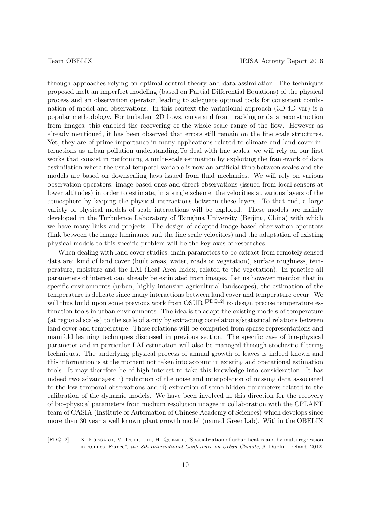through approaches relying on optimal control theory and data assimilation. The techniques proposed melt an imperfect modeling (based on Partial Differential Equations) of the physical process and an observation operator, leading to adequate optimal tools for consistent combination of model and observations. In this context the variational approach (3D-4D var) is a popular methodology. For turbulent 2D flows, curve and front tracking or data reconstruction from images, this enabled the recovering of the whole scale range of the flow. However as already mentioned, it has been observed that errors still remain on the fine scale structures. Yet, they are of prime importance in many applications related to climate and land-cover interactions as urban pollution understanding.To deal with fine scales, we will rely on our first works that consist in performing a multi-scale estimation by exploiting the framework of data assimilation where the usual temporal variable is now an artificial time between scales and the models are based on downscaling laws issued from fluid mechanics. We will rely on various observation operators: image-based ones and direct observations (issued from local sensors at lower altitudes) in order to estimate, in a single scheme, the velocities at various layers of the atmosphere by keeping the physical interactions between these layers. To that end, a large variety of physical models of scale interactions will be explored. These models are mainly developed in the Turbulence Laboratory of Tsinghua University (Beijing, China) with which we have many links and projects. The design of adapted image-based observation operators (link between the image luminance and the fine scale velocities) and the adaptation of existing physical models to this specific problem will be the key axes of researches.

When dealing with land cover studies, main parameters to be extract from remotely sensed data are: kind of land cover (built areas, water, roads or vegetation), surface roughness, temperature, moisture and the LAI (Leaf Area Index, related to the vegetation). In practice all parameters of interest can already be estimated from images. Let us however mention that in specific environments (urban, highly intensive agricultural landscapes), the estimation of the temperature is delicate since many interactions between land cover and temperature occur. We will thus build upon some previous work from OSUR <sup>[FDQ12]</sup> to design precise temperature estimation tools in urban environments. The idea is to adapt the existing models of temperature (at regional scales) to the scale of a city by extracting correlations/statistical relations between land cover and temperature. These relations will be computed from sparse representations and manifold learning techniques discussed in previous section. The specific case of bio-physical parameter and in particular LAI estimation will also be managed through stochastic filtering techniques. The underlying physical process of annual growth of leaves is indeed known and this information is at the moment not taken into account in existing and operational estimation tools. It may therefore be of high interest to take this knowledge into consideration. It has indeed two advantages: i) reduction of the noise and interpolation of missing data associated to the low temporal observations and ii) extraction of some hidden parameters related to the calibration of the dynamic models. We have been involved in this direction for the recovery of bio-physical parameters from medium resolution images in collaboration with the CPLANT team of CASIA (Institute of Automation of Chinese Academy of Sciences) which develops since more than 30 year a well known plant growth model (named GreenLab). Within the OBELIX

[FDQ12] X. FOISSARD, V. DUBREUIL, H. QUENOL, "Spatialization of urban heat island by multi regression in Rennes, France", in : 8th International Conference on Urban Climate, 2, Dublin, Ireland, 2012.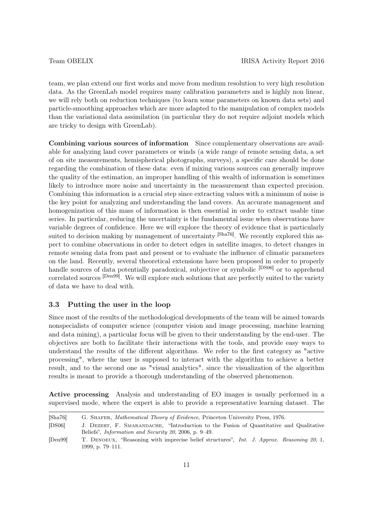team, we plan extend our first works and move from medium resolution to very high resolution data. As the GreenLab model requires many calibration parameters and is highly non linear, we will rely both on reduction techniques (to learn some parameters on known data sets) and particle-smoothing approaches which are more adapted to the manipulation of complex models than the variational data assimilation (in particular they do not require adjoint models which are tricky to design with GreenLab).

Combining various sources of information Since complementary observations are available for analyzing land cover parameters or winds (a wide range of remote sensing data, a set of on site measurements, hemispherical photographs, surveys), a specific care should be done regarding the combination of these data: even if mixing various sources can generally improve the quality of the estimation, an improper handling of this wealth of information is sometimes likely to introduce more noise and uncertainty in the measurement than expected precision. Combining this information is a crucial step since extracting values with a minimum of noise is the key point for analyzing and understanding the land covers. An accurate management and homogenization of this mass of information is then essential in order to extract usable time series. In particular, reducing the uncertainty is the fundamental issue when observations have variable degrees of confidence. Here we will explore the theory of evidence that is particularly suited to decision making by management of uncertainty [Sha76]. We recently explored this aspect to combine observations in order to detect edges in satellite images, to detect changes in remote sensing data from past and present or to evaluate the influence of climatic parameters on the land. Recently, several theoretical extensions have been proposed in order to properly handle sources of data potentially paradoxical, subjective or symbolic <sup>[DS06]</sup> or to apprehend correlated sources <sup>[Den99]</sup>. We will explore such solutions that are perfectly suited to the variety of data we have to deal with.

## 3.3 Putting the user in the loop

Since most of the results of the methodological developments of the team will be aimed towards nonspecialists of computer science (computer vision and image processing, machine learning and data mining), a particular focus will be given to their understanding by the end-user. The objectives are both to facilitate their interactions with the tools, and provide easy ways to understand the results of the different algorithms. We refer to the first category as "active processing", where the user is supposed to interact with the algorithm to achieve a better result, and to the second one as "visual analytics", since the visualization of the algorithm results is meant to provide a thorough understanding of the observed phenomenon.

Active processing Analysis and understanding of EO images is usually performed in a supervised mode, where the expert is able to provide a representative learning dataset. The

[Sha76] G. Shafer, Mathematical Theory of Evidence, Princeton University Press, 1976. [DS06] J. Dezert, F. Smarandache, "Introduction to the Fusion of Quantitative and Qualitative Beliefs", Information and Security 20, 2006, p. 9–49. [Den99] T. DENOEUX, "Reasoning with imprecise belief structures", Int. J. Approx. Reasoning 20, 1, 1999, p. 79–111.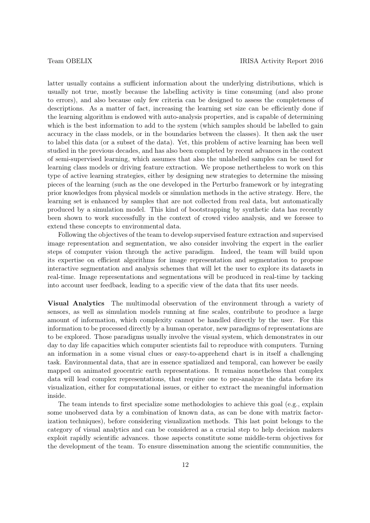latter usually contains a sufficient information about the underlying distributions, which is usually not true, mostly because the labelling activity is time consuming (and also prone to errors), and also because only few criteria can be designed to assess the completeness of descriptions. As a matter of fact, increasing the learning set size can be efficiently done if the learning algorithm is endowed with auto-analysis properties, and is capable of determining which is the best information to add to the system (which samples should be labelled to gain accuracy in the class models, or in the boundaries between the classes). It then ask the user to label this data (or a subset of the data). Yet, this problem of active learning has been well studied in the previous decades, and has also been completed by recent advances in the context of semi-supervised learning, which assumes that also the unlabelled samples can be used for learning class models or driving feature extraction. We propose nethertheless to work on this type of active learning strategies, either by designing new strategies to determine the missing pieces of the learning (such as the one developed in the Perturbo framework or by integrating prior knowledges from physical models or simulation methods in the active strategy. Here, the learning set is enhanced by samples that are not collected from real data, but automatically produced by a simulation model. This kind of bootstrapping by synthetic data has recently been shown to work successfully in the context of crowd video analysis, and we foresee to extend these concepts to environmental data.

Following the objectives of the team to develop supervised feature extraction and supervised image representation and segmentation, we also consider involving the expert in the earlier steps of computer vision through the active paradigm. Indeed, the team will build upon its expertise on efficient algorithms for image representation and segmentation to propose interactive segmentation and analysis schemes that will let the user to explore its datasets in real-time. Image representations and segmentations will be produced in real-time by tacking into account user feedback, leading to a specific view of the data that fits user needs.

Visual Analytics The multimodal observation of the environment through a variety of sensors, as well as simulation models running at fine scales, contribute to produce a large amount of information, which complexity cannot be handled directly by the user. For this information to be processed directly by a human operator, new paradigms of representations are to be explored. Those paradigms usually involve the visual system, which demonstrates in our day to day life capacities which computer scientists fail to reproduce with computers. Turning an information in a some visual clues or easy-to-apprehend chart is in itself a challenging task. Environmental data, that are in essence spatialized and temporal, can however be easily mapped on animated geocentric earth representations. It remains nonetheless that complex data will lead complex representations, that require one to pre-analyze the data before its visualization, either for computational issues, or either to extract the meaningful information inside.

The team intends to first specialize some methodologies to achieve this goal (e.g., explain some unobserved data by a combination of known data, as can be done with matrix factorization techniques), before considering visualization methods. This last point belongs to the category of visual analytics and can be considered as a crucial step to help decision makers exploit rapidly scientific advances. those aspects constitute some middle-term objectives for the development of the team. To ensure dissemination among the scientific communities, the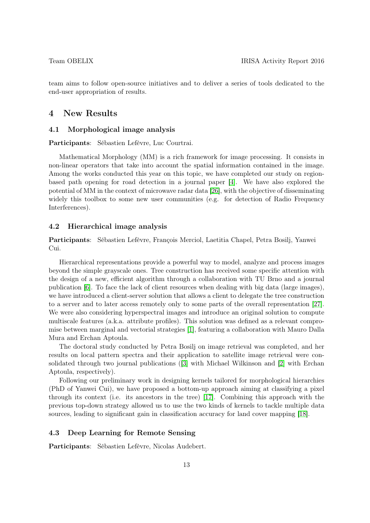team aims to follow open-source initiatives and to deliver a series of tools dedicated to the end-user appropriation of results.

# 4 New Results

### 4.1 Morphological image analysis

Participants: Sébastien Lefèvre, Luc Courtrai.

Mathematical Morphology (MM) is a rich framework for image processing. It consists in non-linear operators that take into account the spatial information contained in the image. Among the works conducted this year on this topic, we have completed our study on regionbased path opening for road detection in a journal paper [\[4\]](#page-23-0). We have also explored the potential of MM in the context of microwave radar data [\[26\]](#page-25-0), with the objective of disseminating widely this toolbox to some new user communities (e.g. for detection of Radio Frequency Interferences).

### 4.2 Hierarchical image analysis

Participants: Sébastien Lefèvre, François Merciol, Laetitia Chapel, Petra Bosilj, Yanwei Cui.

Hierarchical representations provide a powerful way to model, analyze and process images beyond the simple grayscale ones. Tree construction has received some specific attention with the design of a new, efficient algorithm through a collaboration with TU Brno and a journal publication [\[6\]](#page-23-1). To face the lack of client resources when dealing with big data (large images), we have introduced a client-server solution that allows a client to delegate the tree construction to a server and to later access remotely only to some parts of the overall representation [\[27\]](#page-25-1). We were also considering hyperspectral images and introduce an original solution to compute multiscale features (a.k.a. attribute profiles). This solution was defined as a relevant compromise between marginal and vectorial strategies [\[1\]](#page-23-2), featuring a collaboration with Mauro Dalla Mura and Erchan Aptoula.

The doctoral study conducted by Petra Bosilj on image retrieval was completed, and her results on local pattern spectra and their application to satellite image retrieval were consolidated through two journal publications ([\[3\]](#page-23-3) with Michael Wilkinson and [\[2\]](#page-23-4) with Erchan Aptoula, respectively).

Following our preliminary work in designing kernels tailored for morphological hierarchies (PhD of Yanwei Cui), we have proposed a bottom-up approach aiming at classifying a pixel through its context (i.e. its ancestors in the tree) [\[17\]](#page-24-0). Combining this approach with the previous top-down strategy allowed us to use the two kinds of kernels to tackle multiple data sources, leading to significant gain in classification accuracy for land cover mapping [\[18\]](#page-24-1).

### 4.3 Deep Learning for Remote Sensing

Participants: Sébastien Lefèvre, Nicolas Audebert.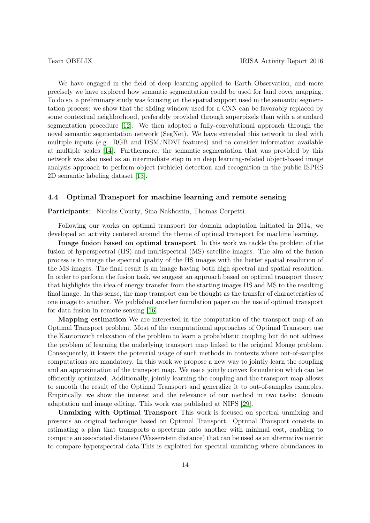We have engaged in the field of deep learning applied to Earth Observation, and more precisely we have explored how semantic segmentation could be used for land cover mapping. To do so, a preliminary study was focusing on the spatial support used in the semantic segmentation process: we show that the sliding window used for a CNN can be favorably replaced by some contextual neighborhood, preferably provided through superpixels than with a standard segmentation procedure [\[12\]](#page-24-2). We then adopted a fully-convolutional approach through the novel semantic segmentation network (SegNet). We have extended this network to deal with multiple inputs (e.g. RGB and DSM/NDVI features) and to consider information available at multiple scales [\[14\]](#page-24-3). Furthermore, the semantic segmentation that was provided by this network was also used as an intermediate step in an deep learning-related object-based image analysis approach to perform object (vehicle) detection and recognition in the public ISPRS 2D semantic labeling dataset [\[13\]](#page-24-4).

#### 4.4 Optimal Transport for machine learning and remote sensing

Participants: Nicolas Courty, Sina Nakhostin, Thomas Corpetti.

Following our works on optimal transport for domain adaptation initiated in 2014, we developed an activity centered around the theme of optimal transport for machine learning.

Image fusion based on optimal transport. In this work we tackle the problem of the fusion of hyperspectral (HS) and multispectral (MS) satellite images. The aim of the fusion process is to merge the spectral quality of the HS images with the better spatial resolution of the MS images. The final result is an image having both high spectral and spatial resolution. In order to perform the fusion task, we suggest an approach based on optimal transport theory that highlights the idea of energy transfer from the starting images HS and MS to the resulting final image. In this sense, the map transport can be thought as the transfer of characteristics of one image to another. We published another foundation paper on the use of optimal transport for data fusion in remote sensing [\[16\]](#page-24-5).

Mapping estimation We are interested in the computation of the transport map of an Optimal Transport problem. Most of the computational approaches of Optimal Transport use the Kantorovich relaxation of the problem to learn a probabilistic coupling but do not address the problem of learning the underlying transport map linked to the original Monge problem. Consequently, it lowers the potential usage of such methods in contexts where out-of-samples computations are mandatory. In this work we propose a new way to jointly learn the coupling and an approximation of the transport map. We use a jointly convex formulation which can be efficiently optimized. Additionally, jointly learning the coupling and the transport map allows to smooth the result of the Optimal Transport and generalize it to out-of-samples examples. Empirically, we show the interest and the relevance of our method in two tasks: domain adaptation and image editing. This work was published at NIPS [\[29\]](#page-25-2).

Unmixing with Optimal Transport This work is focused on spectral unmixing and presents an original technique based on Optimal Transport. Optimal Transport consists in estimating a plan that transports a spectrum onto another with minimal cost, enabling to compute an associated distance (Wasserstein distance) that can be used as an alternative metric to compare hyperspectral data.This is exploited for spectral unmixing where abundances in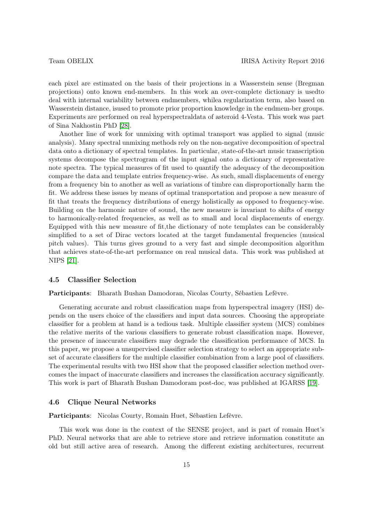each pixel are estimated on the basis of their projections in a Wasserstein sense (Bregman projections) onto known end-members. In this work an over-complete dictionary is usedto deal with internal variability between endmembers, whilea regularization term, also based on Wasserstein distance, isused to promote prior proportion knowledge in the endmem-ber groups. Experiments are performed on real hyperspectraldata of asteroid 4-Vesta. This work was part of Sina Nakhostin PhD [\[28\]](#page-25-3).

Another line of work for unmixing with optimal transport was applied to signal (music analysis). Many spectral unmixing methods rely on the non-negative decomposition of spectral data onto a dictionary of spectral templates. In particular, state-of-the-art music transcription systems decompose the spectrogram of the input signal onto a dictionary of representative note spectra. The typical measures of fit used to quantify the adequacy of the decomposition compare the data and template entries frequency-wise. As such, small displacements of energy from a frequency bin to another as well as variations of timbre can disproportionally harm the fit. We address these issues by means of optimal transportation and propose a new measure of fit that treats the frequency distributions of energy holistically as opposed to frequency-wise. Building on the harmonic nature of sound, the new measure is invariant to shifts of energy to harmonically-related frequencies, as well as to small and local displacements of energy. Equipped with this new measure of fit,the dictionary of note templates can be considerably simplified to a set of Dirac vectors located at the target fundamental frequencies (musical pitch values). This turns gives ground to a very fast and simple decomposition algorithm that achieves state-of-the-art performance on real musical data. This work was published at NIPS [\[21\]](#page-24-6).

### 4.5 Classifier Selection

Participants: Bharath Bushan Damodoran, Nicolas Courty, Sébastien Lefèvre.

Generating accurate and robust classification maps from hyperspectral imagery (HSI) depends on the users choice of the classifiers and input data sources. Choosing the appropriate classifier for a problem at hand is a tedious task. Multiple classifier system (MCS) combines the relative merits of the various classifiers to generate robust classification maps. However, the presence of inaccurate classifiers may degrade the classification performance of MCS. In this paper, we propose a unsupervised classifier selection strategy to select an appropriate subset of accurate classifiers for the multiple classifier combination from a large pool of classifiers. The experimental results with two HSI show that the proposed classifier selection method overcomes the impact of inaccurate classifiers and increases the classification accuracy significantly. This work is part of Bharath Bushan Damodoram post-doc, was published at IGARSS [\[19\]](#page-24-7).

#### 4.6 Clique Neural Networks

Participants: Nicolas Courty, Romain Huet, Sébastien Lefèvre.

This work was done in the context of the SENSE project, and is part of romain Huet's PhD. Neural networks that are able to retrieve store and retrieve information constitute an old but still active area of research. Among the different existing architectures, recurrent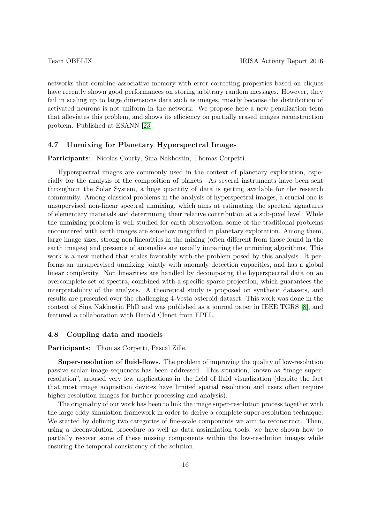networks that combine associative memory with error correcting properties based on cliques have recently shown good performances on storing arbitrary random messages. However, they fail in scaling up to large dimensions data such as images, mostly because the distribution of activated neurons is not uniform in the network. We propose here a new penalization term that alleviates this problem, and shows its efficiency on partially erased images reconstruction problem. Published at ESANN [\[23\]](#page-25-4).

### 4.7 Unmixing for Planetary Hyperspectral Images

Participants: Nicolas Courty, Sina Nakhostin, Thomas Corpetti.

Hyperspectral images are commonly used in the context of planetary exploration, especially for the analysis of the composition of planets. As several instruments have been sent throughout the Solar System, a huge quantity of data is getting available for the research community. Among classical problems in the analysis of hyperspectral images, a crucial one is unsupervised non-linear spectral unmixing, which aims at estimating the spectral signatures of elementary materials and determining their relative contribution at a sub-pixel level. While the unmixing problem is well studied for earth observation, some of the traditional problems encountered with earth images are somehow magnified in planetary exploration. Among them, large image sizes, strong non-linearities in the mixing (often different from those found in the earth images) and presence of anomalies are usually impairing the unmixing algorithms. This work is a new method that scales favorably with the problem posed by this analysis. It performs an unsupervised unmixing jointly with anomaly detection capacities, and has a global linear complexity. Non linearities are handled by decomposing the hyperspectral data on an overcomplete set of spectra, combined with a specific sparse projection, which guarantees the interpretability of the analysis. A theoretical study is proposed on synthetic datasets, and results are presented over the challenging 4-Vesta asteroid dataset. This work was done in the context of Sina Nakhostin PhD and was published as a journal paper in IEEE TGRS [\[8\]](#page-23-5), and featured a collaboration with Harold Clenet from EPFL.

#### 4.8 Coupling data and models

Participants: Thomas Corpetti, Pascal Zille.

Super-resolution of fluid-flows. The problem of improving the quality of low-resolution passive scalar image sequences has been addressed. This situation, known as "image superresolution", aroused very few applications in the field of fluid visualization (despite the fact that most image acquisition devices have limited spatial resolution and users often require higher-resolution images for further processing and analysis).

The originality of our work has been to link the image super-resolution process together with the large eddy simulation framework in order to derive a complete super-resolution technique. We started by defining two categories of fine-scale components we aim to reconstruct. Then, using a deconvolution procedure as well as data assimilation tools, we have shown how to partially recover some of these missing components within the low-resolution images while ensuring the temporal consistency of the solution.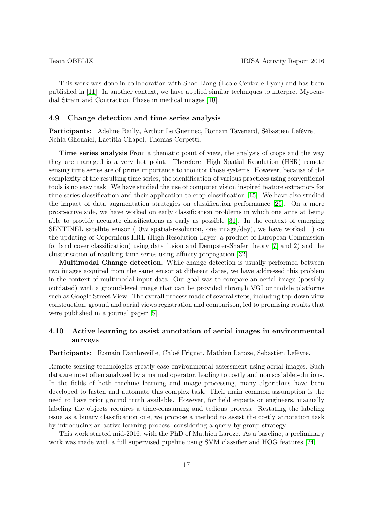This work was done in collaboration with Shao Liang (Ecole Centrale Lyon) and has been published in [\[11\]](#page-23-6). In another context, we have applied similar techniques to interpret Myocardial Strain and Contraction Phase in medical images [\[10\]](#page-23-7).

#### 4.9 Change detection and time series analysis

Participants: Adeline Bailly, Arthur Le Guennec, Romain Tavenard, Sébastien Lefèvre, Nehla Ghouaiel, Laetitia Chapel, Thomas Corpetti.

Time series analysis From a thematic point of view, the analysis of crops and the way they are managed is a very hot point. Therefore, High Spatial Resolution (HSR) remote sensing time series are of prime importance to monitor those systems. However, because of the complexity of the resulting time series, the identification of various practices using conventional tools is no easy task. We have studied the use of computer vision inspired feature extractors for time series classification and their application to crop classification [\[15\]](#page-24-8). We have also studied the impact of data augmentation strategies on classification performance [\[25\]](#page-25-5). On a more prospective side, we have worked on early classification problems in which one aims at being able to provide accurate classifications as early as possible [\[31\]](#page-25-6). In the context of emerging SENTINEL satellite sensor  $(10m \text{ spatial-resolution}, \text{ one image/day})$ , we have worked 1) on the updating of Copernicus HRL (High Resolution Layer, a product of European Commission for land cover classification) using data fusion and Dempster-Shafer theory [\[7\]](#page-23-8) and 2) and the clusterisation of resulting time series using affinity propagation [\[32\]](#page-25-7).

Multimodal Change detection. While change detection is usually performed between two images acquired from the same sensor at different dates, we have addressed this problem in the context of multimodal input data. Our goal was to compare an aerial image (possibly outdated) with a ground-level image that can be provided through VGI or mobile platforms such as Google Street View. The overall process made of several steps, including top-down view construction, ground and aerial views registration and comparison, led to promising results that were published in a journal paper [\[5\]](#page-23-9).

# 4.10 Active learning to assist annotation of aerial images in environmental surveys

Participants: Romain Dambreville, Chloé Friguet, Mathieu Laroze, Sébastien Lefèvre.

Remote sensing technologies greatly ease environmental assessment using aerial images. Such data are most often analyzed by a manual operator, leading to costly and non scalable solutions. In the fields of both machine learning and image processing, many algorithms have been developed to fasten and automate this complex task. Their main common assumption is the need to have prior ground truth available. However, for field experts or engineers, manually labeling the objects requires a time-consuming and tedious process. Restating the labeling issue as a binary classification one, we propose a method to assist the costly annotation task by introducing an active learning process, considering a query-by-group strategy.

This work started mid-2016, with the PhD of Mathieu Laroze. As a baseline, a preliminary work was made with a full supervised pipeline using SVM classifier and HOG features [\[24\]](#page-25-8).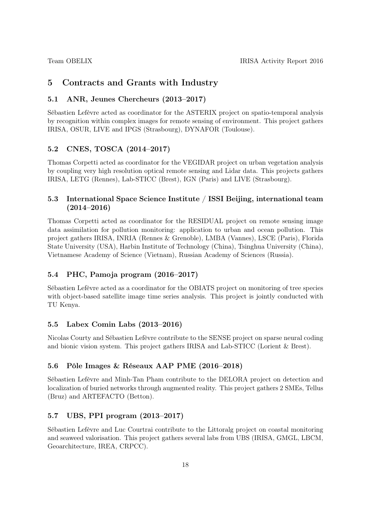# 5 Contracts and Grants with Industry

# 5.1 ANR, Jeunes Chercheurs (2013–2017)

Sébastien Lefèvre acted as coordinator for the ASTERIX project on spatio-temporal analysis by recognition within complex images for remote sensing of environment. This project gathers IRISA, OSUR, LIVE and IPGS (Strasbourg), DYNAFOR (Toulouse).

# 5.2 CNES, TOSCA (2014–2017)

Thomas Corpetti acted as coordinator for the VEGIDAR project on urban vegetation analysis by coupling very high resolution optical remote sensing and Lidar data. This projects gathers IRISA, LETG (Rennes), Lab-STICC (Brest), IGN (Paris) and LIVE (Strasbourg).

# 5.3 International Space Science Institute / ISSI Beijing, international team  $(2014 - 2016)$

Thomas Corpetti acted as coordinator for the RESIDUAL project on remote sensing image data assimilation for pollution monitoring: application to urban and ocean pollution. This project gathers IRISA, INRIA (Rennes & Grenoble), LMBA (Vannes), LSCE (Paris), Florida State University (USA), Harbin Institute of Technology (China), Tsinghua University (China), Vietnamese Academy of Science (Vietnam), Russian Academy of Sciences (Russia).

# 5.4 PHC, Pamoja program (2016–2017)

Sébastien Lefèvre acted as a coordinator for the OBIATS project on monitoring of tree species with object-based satellite image time series analysis. This project is jointly conducted with TU Kenya.

# 5.5 Labex Comin Labs (2013–2016)

Nicolas Courty and Sébastien Lefèvre contribute to the SENSE project on sparse neural coding and bionic vision system. This project gathers IRISA and Lab-STICC (Lorient & Brest).

### 5.6 Pôle Images & Réseaux AAP PME (2016–2018)

Sébastien Lefèvre and Minh-Tan Pham contribute to the DELORA project on detection and localization of buried networks through augmented reality. This project gathers 2 SMEs, Tellus (Bruz) and ARTEFACTO (Betton).

### 5.7 UBS, PPI program (2013–2017)

Sébastien Lefèvre and Luc Courtrai contribute to the Littoralg project on coastal monitoring and seaweed valorisation. This project gathers several labs from UBS (IRISA, GMGL, LBCM, Geoarchitecture, IREA, CRPCC).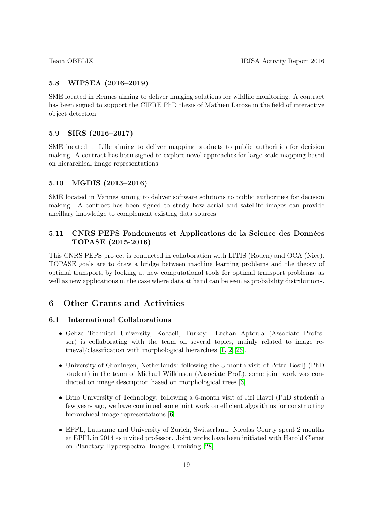# 5.8 WIPSEA (2016–2019)

SME located in Rennes aiming to deliver imaging solutions for wildlife monitoring. A contract has been signed to support the CIFRE PhD thesis of Mathieu Laroze in the field of interactive object detection.

# 5.9 SIRS (2016–2017)

SME located in Lille aiming to deliver mapping products to public authorities for decision making. A contract has been signed to explore novel approaches for large-scale mapping based on hierarchical image representations

# 5.10 MGDIS (2013–2016)

SME located in Vannes aiming to deliver software solutions to public authorities for decision making. A contract has been signed to study how aerial and satellite images can provide ancillary knowledge to complement existing data sources.

# 5.11 CNRS PEPS Fondements et Applications de la Science des Données TOPASE (2015-2016)

This CNRS PEPS project is conducted in collaboration with LITIS (Rouen) and OCA (Nice). TOPASE goals are to draw a bridge between machine learning problems and the theory of optimal transport, by looking at new computational tools for optimal transport problems, as well as new applications in the case where data at hand can be seen as probability distributions.

# 6 Other Grants and Activities

# 6.1 International Collaborations

- Gebze Technical University, Kocaeli, Turkey: Erchan Aptoula (Associate Professor) is collaborating with the team on several topics, mainly related to image retrieval/classification with morphological hierarchies [\[1,](#page-23-2) [2,](#page-23-4) [26\]](#page-25-0).
- University of Groningen, Netherlands: following the 3-month visit of Petra Bosilj (PhD student) in the team of Michael Wilkinson (Associate Prof.), some joint work was conducted on image description based on morphological trees [\[3\]](#page-23-3).
- Brno University of Technology: following a 6-month visit of Jiri Havel (PhD student) a few years ago, we have continued some joint work on efficient algorithms for constructing hierarchical image representations [\[6\]](#page-23-1).
- EPFL, Lausanne and University of Zurich, Switzerland: Nicolas Courty spent 2 months at EPFL in 2014 as invited professor. Joint works have been initiated with Harold Clenet on Planetary Hyperspectral Images Unmixing [\[28\]](#page-25-3).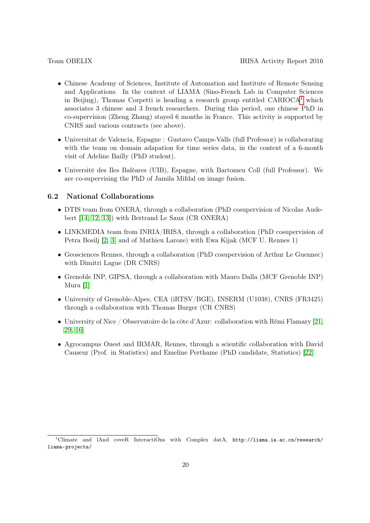- Chinese Academy of Sciences, Institute of Automation and Institute of Remote Sensing and Applications. In the context of LIAMA (Sino-French Lab in Computer Sciences in Beijing), Thomas Corpetti is heading a research group entitled  $CARIOCA<sup>1</sup>$  $CARIOCA<sup>1</sup>$  $CARIOCA<sup>1</sup>$  which associates 3 chinese and 3 french researchers. During this period, one chinese PhD in co-supervision (Zheng Zhang) stayed 6 months in France. This activity is supported by CNRS and various contracts (see above).
- Universitat de Valencia, Espagne : Gustavo Camps-Valls (full Professor) is collaborating with the team on domain adapation for time series data, in the context of a 6-month visit of Adeline Bailly (PhD student).
- Université des Iles Baléares (UIB), Espagne, with Bartomeu Coll (full Professor). We are co-supervising the PhD of Jamila Mifdal on image fusion.

#### 6.2 National Collaborations

- DTIS team from ONERA, through a collaboration (PhD cosupervision of Nicolas Audebert [\[14,](#page-24-3) [12,](#page-24-2) [13\]](#page-24-4)) with Bertrand Le Saux (CR ONERA)
- LINKMEDIA team from INRIA/IRISA, through a collaboration (PhD cosupervision of Petra Bosilj [\[2,](#page-23-4) [3\]](#page-23-3) and of Mathieu Laroze) with Ewa Kijak (MCF U. Rennes 1)
- Geosciences Rennes, through a collaboration (PhD cosupervision of Arthur Le Guennec) with Dimitri Lague (DR CNRS)
- Grenoble INP, GIPSA, through a collaboration with Mauro Dalla (MCF Grenoble INP) Mura [\[1\]](#page-23-2)
- University of Grenoble-Alpes, CEA (iRTSV/BGE), INSERM (U1038), CNRS (FR3425) through a collaboration with Thomas Burger (CR CNRS)
- University of Nice / Observatoire de la côte d'Azur: collaboration with Rémi Flamary [\[21,](#page-24-6) [29,](#page-25-2) [16\]](#page-24-5)
- Agrocampus Ouest and IRMAR, Rennes, through a scientific collaboration with David Causeur (Prof. in Statistics) and Emeline Perthame (PhD candidate, Statistics) [\[22\]](#page-24-9)

<span id="page-19-0"></span><sup>&</sup>lt;sup>1</sup>Climate and lAnd coveR InteractiOns with Complex datA, http://liama.ia.ac.cn/research/ liama-projects/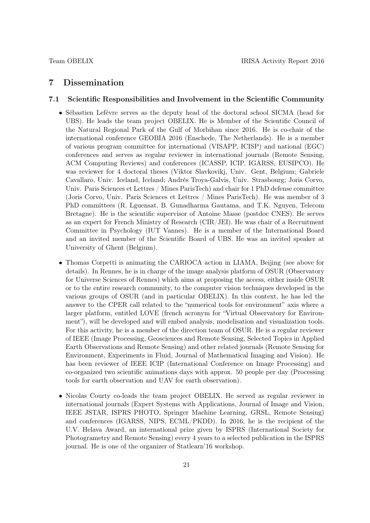# 7 Dissemination

### 7.1 Scientific Responsibilities and Involvement in the Scientific Community

- Sébastien Lefèvre serves as the deputy head of the doctoral school SICMA (head for UBS). He leads the team project OBELIX. He is Member of the Scientific Council of the Natural Regional Park of the Gulf of Morbihan since 2016. He is co-chair of the international conference GEOBIA 2016 (Enschede, The Netherlands). He is a member of various program committee for international (VISAPP, ICISP) and national (EGC) conferences and serves as regular reviewer in international journals (Remote Sensing, ACM Computing Reviews) and conferences (ICASSP, ICIP, IGARSS, EUSIPCO). He was reviewer for 4 doctoral theses (Viktor Slavkovikj, Univ. Gent, Belgium; Gabriele Cavallaro, Univ. Iceland, Iceland; Andrès Troya-Galvis, Univ. Strasbourg; Joris Corvo, Univ. Paris Sciences et Lettres / Mines ParisTech) and chair for 1 PhD defense committee (Joris Corvo, Univ. Paris Sciences et Lettres / Mines ParisTech). He was member of 3 PhD committees (R. Lguensat, B. Gunadharma Gautama, and T.K. Nguyen, Telecom Bretagne). He is the scientific supervisor of Antoine Masse (postdoc CNES). He serves as an expert for French Ministry of Research (CIR/JEI). He was chair of a Recruitment Committee in Psychology (IUT Vannes). He is a member of the International Board and an invited member of the Scientific Board of UBS. He was an invited speaker at University of Ghent (Belgium).
- Thomas Corpetti is animating the CARIOCA action in LIAMA, Beijing (see above for details). In Rennes, he is in charge of the image analysis platform of OSUR (Observatory for Universe Sciences of Rennes) which aims at proposing the access, either inside OSUR or to the entire research community, to the computer vision techniques developed in the various groups of OSUR (and in particular OBELIX). In this context, he has led the answer to the CPER call related to the "numerical tools for environment" axis where a larger platform, entitled LOVE (french acronym for "Virtual Observatory for Environment"), will be developed and will embed analysis, modelisation and visualization tools. For this activity, he is a member of the direction team of OSUR. He is a regular reviewer of IEEE (Image Processing, Geosciences and Remote Sensing, Selected Topics in Applied Earth Observations and Remote Sensing) and other related journals (Remote Sensing for Environment, Experiments in Fluid, Journal of Mathematical Imaging and Vision). He has been reviewer of IEEE ICIP (International Conference on Image Processing) and co-organized two scientific animations days with approx. 50 people per day (Processing tools for earth observation and UAV for earth observation).
- Nicolas Courty co-leads the team project OBELIX. He served as regular reviewer in international journals (Expert Systems with Applications, Journal of Image and Vision, IEEE JSTAR, ISPRS PHOTO, Springer Machine Learning, GRSL, Remote Sensing) and conferences (IGARSS, NIPS, ECML/PKDD). In 2016, he is the recipient of the U.V. Helava Award, an international prize given by ISPRS (International Society for Photogrametry and Remote Sensing) every 4 years to a selected publication in the ISPRS journal. He is one of the organizer of Statlearn'16 workshop.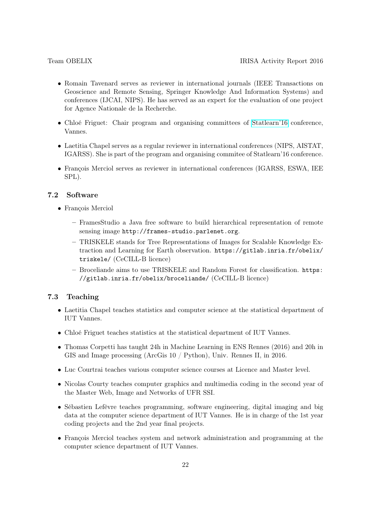- Romain Tavenard serves as reviewer in international journals (IEEE Transactions on Geoscience and Remote Sensing, Springer Knowledge And Information Systems) and conferences (IJCAI, NIPS). He has served as an expert for the evaluation of one project for Agence Nationale de la Recherche.
- Chloé Friguet: Chair program and organising committees of [Statlearn'16](https://statlearn.sciencesconf.org/resource/page/id/4) conference, Vannes.
- Laetitia Chapel serves as a regular reviewer in international conferences (NIPS, AISTAT, IGARSS). She is part of the program and organising commitee of Statlearn'16 conference.
- François Merciol serves as reviewer in international conferences (IGARSS, ESWA, IEE SPL).

### 7.2 Software

- François Merciol
	- FramesStudio a Java free software to build hierarchical representation of remote sensing image http://frames-studio.parlenet.org.
	- TRISKELE stands for Tree Representations of Images for Scalable Knowledge Extraction and Learning for Earth observation. https://gitlab.inria.fr/obelix/ triskele/ (CeCILL-B licence)
	- Broceliande aims to use TRISKELE and Random Forest for classification. https: //gitlab.inria.fr/obelix/broceliande/ (CeCILL-B licence)

# 7.3 Teaching

- Laetitia Chapel teaches statistics and computer science at the statistical department of IUT Vannes.
- Chloé Friguet teaches statistics at the statistical department of IUT Vannes.
- Thomas Corpetti has taught 24h in Machine Learning in ENS Rennes (2016) and 20h in GIS and Image processing (ArcGis 10 / Python), Univ. Rennes II, in 2016.
- Luc Courtrai teaches various computer science courses at Licence and Master level.
- Nicolas Courty teaches computer graphics and multimedia coding in the second year of the Master Web, Image and Networks of UFR SSI.
- Sébastien Lefèvre teaches programming, software engineering, digital imaging and big data at the computer science department of IUT Vannes. He is in charge of the 1st year coding projects and the 2nd year final projects.
- François Merciol teaches system and network administration and programming at the computer science department of IUT Vannes.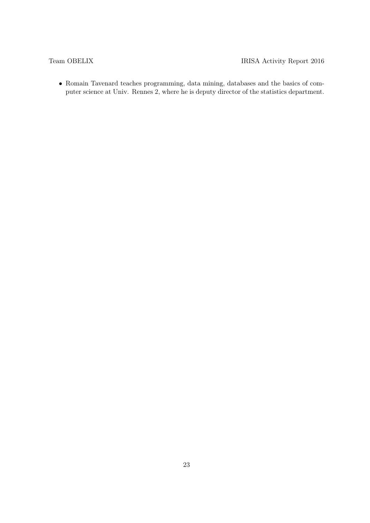• Romain Tavenard teaches programming, data mining, databases and the basics of computer science at Univ. Rennes 2, where he is deputy director of the statistics department.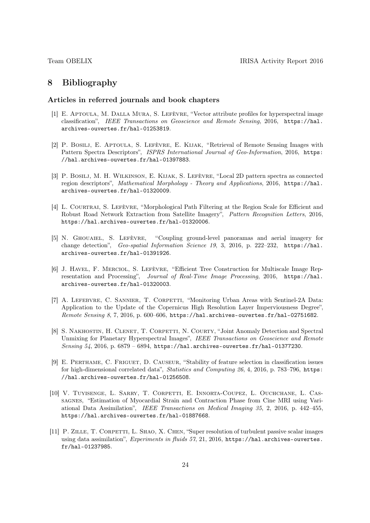# 8 Bibliography

## Articles in referred journals and book chapters

- <span id="page-23-2"></span>[1] E. Aptoula, M. Dalla Mura, S. Lefèvre, "Vector attribute profiles for hyperspectral image classification", IEEE Transactions on Geoscience and Remote Sensing, 2016, https://hal. archives-ouvertes.fr/hal-01253819.
- <span id="page-23-4"></span>[2] P. Bosilj, E. Aptoula, S. Lefèvre, E. Kijak, "Retrieval of Remote Sensing Images with Pattern Spectra Descriptors", ISPRS International Journal of Geo-Information, 2016, https: //hal.archives-ouvertes.fr/hal-01397883.
- <span id="page-23-3"></span>[3] P. Bosilj, M. H. Wilkinson, E. Kijak, S. Lefèvre, "Local 2D pattern spectra as connected region descriptors", Mathematical Morphology - Theory and Applications, 2016, https://hal. archives-ouvertes.fr/hal-01320009.
- <span id="page-23-0"></span>[4] L. COURTRAI, S. LEFÈVRE, "Morphological Path Filtering at the Region Scale for Efficient and Robust Road Network Extraction from Satellite Imagery", Pattern Recognition Letters, 2016, https://hal.archives-ouvertes.fr/hal-01320006.
- <span id="page-23-9"></span>[5] N. Ghouaiel, S. Lefèvre, "Coupling ground-level panoramas and aerial imagery for change detection", Geo-spatial Information Science 19, 3, 2016, p. 222-232, https://hal. archives-ouvertes.fr/hal-01391926.
- <span id="page-23-1"></span>[6] J. Havel, F. Merciol, S. Lefèvre, "Efficient Tree Construction for Multiscale Image Representation and Processing", Journal of Real-Time Image Processing, 2016, https://hal. archives-ouvertes.fr/hal-01320003.
- <span id="page-23-8"></span>[7] A. LEFEBVRE, C. SANNIER, T. CORPETTI, "Monitoring Urban Areas with Sentinel-2A Data: Application to the Update of the Copernicus High Resolution Layer Imperviousness Degree", Remote Sensing 8, 7, 2016, p. 600–606, https://hal.archives-ouvertes.fr/hal-02751682.
- <span id="page-23-5"></span>[8] S. Nakhostin, H. Clenet, T. Corpetti, N. Courty, "Joint Anomaly Detection and Spectral Unmixing for Planetary Hyperspectral Images", IEEE Transactions on Geoscience and Remote Sensing  $54$ , 2016, p. 6879 – 6894, https://hal.archives-ouvertes.fr/hal-01377230.
- [9] E. Perthame, C. Friguet, D. Causeur, "Stability of feature selection in classification issues for high-dimensional correlated data", Statistics and Computing 26, 4, 2016, p. 783–796, https: //hal.archives-ouvertes.fr/hal-01256508.
- <span id="page-23-7"></span>[10] V. Tuyisenge, L. Sarry, T. Corpetti, E. Innorta-Coupez, L. Ouchchane, L. Cassagnes, "Estimation of Myocardial Strain and Contraction Phase from Cine MRI using Variational Data Assimilation", IEEE Transactions on Medical Imaging 35, 2, 2016, p. 442–455, https://hal.archives-ouvertes.fr/hal-01887668.
- <span id="page-23-6"></span>[11] P. ZILLE, T. CORPETTI, L. SHAO, X. CHEN, "Super resolution of turbulent passive scalar images using data assimilation", *Experiments in fluids 57*, 21, 2016, https://hal.archives-ouvertes. fr/hal-01237985.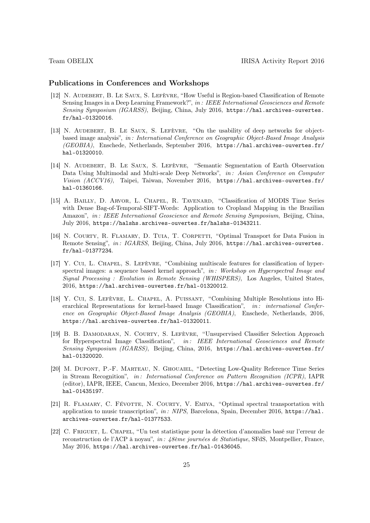#### Publications in Conferences and Workshops

- <span id="page-24-2"></span>[12] N. Audebert, B. Le Saux, S. Lefèvre, "How Useful is Region-based Classification of Remote Sensing Images in a Deep Learning Framework?", in: IEEE International Geosciences and Remote Sensing Symposium (IGARSS), Beijing, China, July 2016, https://hal.archives-ouvertes. fr/hal-01320016.
- <span id="page-24-4"></span>[13] N. Audebert, B. Le Saux, S. Lefèvre, "On the usability of deep networks for objectbased image analysis", in : International Conference on Geographic Object-Based Image Analysis (GEOBIA), Enschede, Netherlands, September 2016, https://hal.archives-ouvertes.fr/ hal-01320010.
- <span id="page-24-3"></span>[14] N. Audebert, B. Le Saux, S. Lefèvre, "Semantic Segmentation of Earth Observation Data Using Multimodal and Multi-scale Deep Networks", in: Asian Conference on Computer Vision (ACCV16), Taipei, Taiwan, November 2016, https://hal.archives-ouvertes.fr/ hal-01360166.
- <span id="page-24-8"></span>[15] A. Bailly, D. Arvor, L. Chapel, R. Tavenard, "Classification of MODIS Time Series with Dense Bag-of-Temporal-SIFT-Words: Application to Cropland Mapping in the Brazilian Amazon", in: IEEE International Geoscience and Remote Sensing Symposium, Beijing, China, July 2016, https://halshs.archives-ouvertes.fr/halshs-01343211.
- <span id="page-24-5"></span>[16] N. COURTY, R. FLAMARY, D. TUIA, T. CORPETTI, "Optimal Transport for Data Fusion in Remote Sensing", in : IGARSS, Beijing, China, July 2016, https://hal.archives-ouvertes. fr/hal-01377234.
- <span id="page-24-0"></span>[17] Y. Cui, L. Chapel, S. Lefèvre, "Combining multiscale features for classification of hyperspectral images: a sequence based kernel approach", in: Workshop on Hyperspectral Image and Signal Processing : Evolution in Remote Sensing (WHISPERS), Los Angeles, United States, 2016, https://hal.archives-ouvertes.fr/hal-01320012.
- <span id="page-24-1"></span>[18] Y. Cui, S. Lefèvre, L. Chapel, A. Puissant, "Combining Multiple Resolutions into Hierarchical Representations for kernel-based Image Classification", in: international Conference on Geographic Object-Based Image Analysis (GEOBIA), Enschede, Netherlands, 2016, https://hal.archives-ouvertes.fr/hal-01320011.
- <span id="page-24-7"></span>[19] B. B. Damodaran, N. Courty, S. Lefèvre, "Unsupervised Classifier Selection Approach for Hyperspectral Image Classification", in: IEEE International Geosciences and Remote Sensing Symposium (IGARSS), Beijing, China, 2016, https://hal.archives-ouvertes.fr/ hal-01320020.
- [20] M. Dupont, P.-F. Marteau, N. Ghouaiel, "Detecting Low-Quality Reference Time Series in Stream Recognition", in : International Conference on Pattern Recognition (ICPR), IAPR (editor), IAPR, IEEE, Cancun, Mexico, December 2016, https://hal.archives-ouvertes.fr/ hal-01435197.
- <span id="page-24-6"></span>[21] R. FLAMARY, C. FÉVOTTE, N. COURTY, V. EMIYA, "Optimal spectral transportation with application to music transcription", in: NIPS, Barcelona, Spain, December 2016, https://hal. archives-ouvertes.fr/hal-01377533.
- <span id="page-24-9"></span>[22] C. FRIGUET, L. CHAPEL, "Un test statistique pour la détection d'anomalies basé sur l'erreur de reconstruction de l'ACP à noyau", in : 48ème journées de Statistique, SFdS, Montpellier, France, May 2016, https://hal.archives-ouvertes.fr/hal-01436045.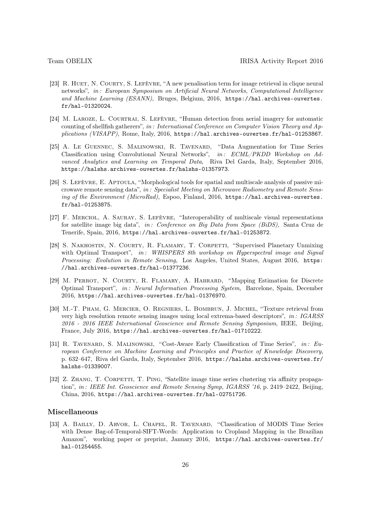- <span id="page-25-4"></span>[23] R. HUET, N. COURTY, S. LEFÈVRE, "A new penalisation term for image retrieval in clique neural networks", in : European Symposium on Artificial Neural Networks, Computational Intelligence and Machine Learning (ESANN), Bruges, Belgium, 2016, https://hal.archives-ouvertes. fr/hal-01320024.
- <span id="page-25-8"></span>[24] M. LAROZE, L. COURTRAI, S. LEFÈVRE, "Human detection from aerial imagery for automatic counting of shellfish gatherers", in : International Conference on Computer Vision Theory and Applications (VISAPP), Rome, Italy, 2016, https://hal.archives-ouvertes.fr/hal-01253867.
- <span id="page-25-5"></span>[25] A. Le Guennec, S. Malinowski, R. Tavenard, "Data Augmentation for Time Series Classification using Convolutional Neural Networks", in: ECML/PKDD Workshop on Advanced Analytics and Learning on Temporal Data, Riva Del Garda, Italy, September 2016, https://halshs.archives-ouvertes.fr/halshs-01357973.
- <span id="page-25-0"></span>[26] S. LEFÈVRE, E. APTOULA, "Morphological tools for spatial and multiscale analysis of passive microwave remote sensing data", in : Specialist Meeting on Microwave Radiometry and Remote Sensing of the Environment (MicroRad), Espoo, Finland, 2016, https://hal.archives-ouvertes. fr/hal-01253875.
- <span id="page-25-1"></span>[27] F. Merciol, A. Sauray, S. Lefèvre, "Interoperability of multiscale visual representations for satellite image big data", in: Conference on Big Data from Space (BiDS), Santa Cruz de Tenerife, Spain, 2016, https://hal.archives-ouvertes.fr/hal-01253872.
- <span id="page-25-3"></span>[28] S. NAKHOSTIN, N. COURTY, R. FLAMARY, T. CORPETTI, "Supervised Planetary Unmixing with Optimal Transport", in: WHISPERS 8th workshop on Hyperspectral image and Signal Processing: Evolution in Remote Sensing, Los Angeles, United States, August 2016, https: //hal.archives-ouvertes.fr/hal-01377236.
- <span id="page-25-2"></span>[29] M. Perrot, N. Courty, R. Flamary, A. Habrard, "Mapping Estimation for Discrete Optimal Transport", in: Neural Information Processing System, Barcelone, Spain, December 2016, https://hal.archives-ouvertes.fr/hal-01376970.
- [30] M.-T. Pham, G. Mercier, O. Regniers, L. Bombrun, J. Michel, "Texture retrieval from very high resolution remote sensing images using local extrema-based descriptors",  $in$ : IGARSS 2016 - 2016 IEEE International Geoscience and Remote Sensing Symposium, IEEE, Beijing, France, July 2016, https://hal.archives-ouvertes.fr/hal-01710222.
- <span id="page-25-6"></span>[31] R. TAVENARD, S. MALINOWSKI, "Cost-Aware Early Classification of Time Series", in: European Conference on Machine Learning and Principles and Practice of Knowledge Discovery, p. 632–647, Riva del Garda, Italy, September 2016, https://halshs.archives-ouvertes.fr/ halshs-01339007.
- <span id="page-25-7"></span>[32] Z. ZHANG, T. CORPETTI, T. PING, "Satellite image time series clustering via affinity propagation", in : IEEE Int. Geoscience and Remote Sensing Symp, IGARSS '16, p. 2419–2422, Beijing, China, 2016, https://hal.archives-ouvertes.fr/hal-02751726.

# Miscellaneous

[33] A. Bailly, D. Arvor, L. Chapel, R. Tavenard, "Classification of MODIS Time Series with Dense Bag-of-Temporal-SIFT-Words: Application to Cropland Mapping in the Brazilian Amazon", working paper or preprint, January 2016, https://hal.archives-ouvertes.fr/ hal-01254455.